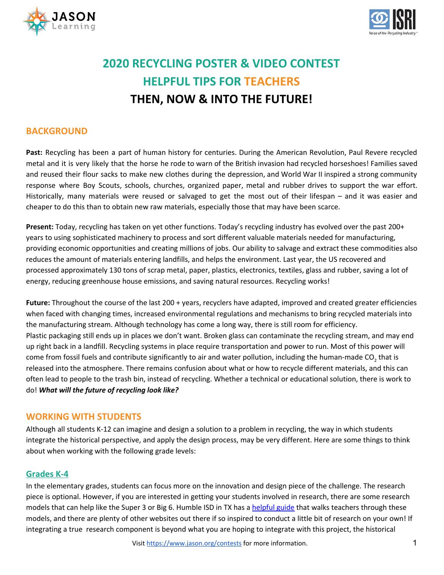



# **2020 RECYCLING POSTER & VIDEO CONTEST HELPFUL TIPS FOR TEACHERS THEN, NOW & INTO THE FUTURE!**

## **BACKGROUND**

**Past:** Recycling has been a part of human history for centuries. During the American Revolution, Paul Revere recycled metal and it is very likely that the horse he rode to warn of the British invasion had recycled horseshoes! Families saved and reused their flour sacks to make new clothes during the depression, and World War II inspired a strong community response where Boy Scouts, schools, churches, organized paper, metal and rubber drives to support the war effort. Historically, many materials were reused or salvaged to get the most out of their lifespan – and it was easier and cheaper to do this than to obtain new raw materials, especially those that may have been scarce.

**Present:** Today, recycling has taken on yet other functions. Today's recycling industry has evolved over the past 200+ years to using sophisticated machinery to process and sort different valuable materials needed for manufacturing, providing economic opportunities and creating millions of jobs. Our ability to salvage and extract these commodities also reduces the amount of materials entering landfills, and helps the environment. Last year, the US recovered and processed approximately 130 tons of scrap metal, paper, plastics, electronics, textiles, glass and rubber, saving a lot of energy, reducing greenhouse house emissions, and saving natural resources. Recycling works!

**Future:** Throughout the course of the last 200 + years, recyclers have adapted, improved and created greater efficiencies when faced with changing times, increased environmental regulations and mechanisms to bring recycled materials into the manufacturing stream. Although technology has come a long way, there is still room for efficiency. Plastic packaging still ends up in places we don't want. Broken glass can contaminate the recycling stream, and may end up right back in a landfill. Recycling systems in place require transportation and power to run. Most of this power will come from fossil fuels and contribute significantly to air and water pollution, including the human-made CO<sub>2</sub> that is released into the atmosphere. There remains confusion about what or how to recycle different materials, and this can often lead to people to the trash bin, instead of recycling. Whether a technical or educational solution, there is work to do! *What will the future of recycling look like?*

## **WORKING WITH STUDENTS**

Although all students K-12 can imagine and design a solution to a problem in recycling, the way in which students integrate the historical perspective, and apply the design process, may be very different. Here are some things to think about when working with the following grade levels:

#### **Grades K-4**

In the elementary grades, students can focus more on the innovation and design piece of the challenge. The research piece is optional. However, if you are interested in getting your students involved in research, there are some research models that can help like the Super 3 or Big 6. Humble ISD in TX has a [helpful](https://www.humbleisd.net/Page/358) guide that walks teachers through these models, and there are plenty of other websites out there if so inspired to conduct a little bit of research on your own! If integrating a true research component is beyond what you are hoping to integrate with this project, the historical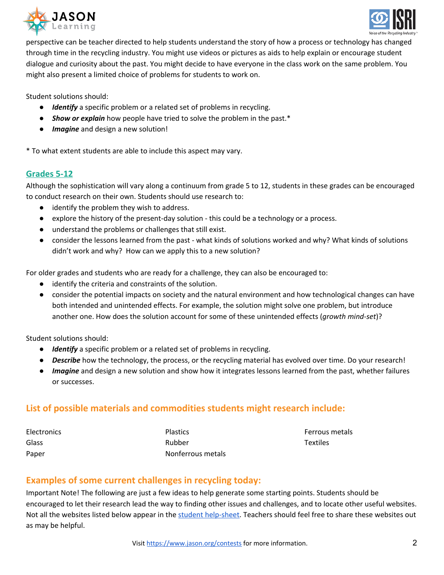



perspective can be teacher directed to help students understand the story of how a process or technology has changed through time in the recycling industry. You might use videos or pictures as aids to help explain or encourage student dialogue and curiosity about the past. You might decide to have everyone in the class work on the same problem. You might also present a limited choice of problems for students to work on.

Student solutions should:

- *Identify* a specific problem or a related set of problems in recycling.
- *Show or explain* how people have tried to solve the problem in the past.\*
- **•** *Imagine* and design a new solution!

\* To what extent students are able to include this aspect may vary.

#### **Grades 5-12**

Although the sophistication will vary along a continuum from grade 5 to 12, students in these grades can be encouraged to conduct research on their own. Students should use research to:

- identify the problem they wish to address.
- explore the history of the present-day solution this could be a technology or a process.
- understand the problems or challenges that still exist.
- consider the lessons learned from the past what kinds of solutions worked and why? What kinds of solutions didn't work and why? How can we apply this to a new solution?

For older grades and students who are ready for a challenge, they can also be encouraged to:

- identify the criteria and constraints of the solution.
- consider the potential impacts on society and the natural environment and how technological changes can have both intended and unintended effects. For example, the solution might solve one problem, but introduce another one. How does the solution account for some of these unintended effects (*growth mind-set*)?

Student solutions should:

- *Identify* a specific problem or a related set of problems in recycling.
- *Describe* how the technology, the process, or the recycling material has evolved over time. Do your research!
- *Imagine* and design a new solution and show how it integrates lessons learned from the past, whether failures or successes.

## **List of possible materials and commodities students might research include:**

| <b>Electronics</b> | <b>Plastics</b>   |
|--------------------|-------------------|
| Glass              | Rubber            |
| Paper              | Nonferrous metals |

Ferrous metals **Textiles** 

## **Examples of some current challenges in recycling today:**

Important Note! The following are just a few ideas to help generate some starting points. Students should be encouraged to let their research lead the way to finding other issues and challenges, and to locate other useful websites. Not all the websites listed below appear in the student [help-sheet.](https://www.jason.org/wp-content/uploads/2019/10/Helpful-Tips-for-Students-Getting-Started-ISRI-2019-20-Contest-1.pdf) Teachers should feel free to share these websites out as may be helpful.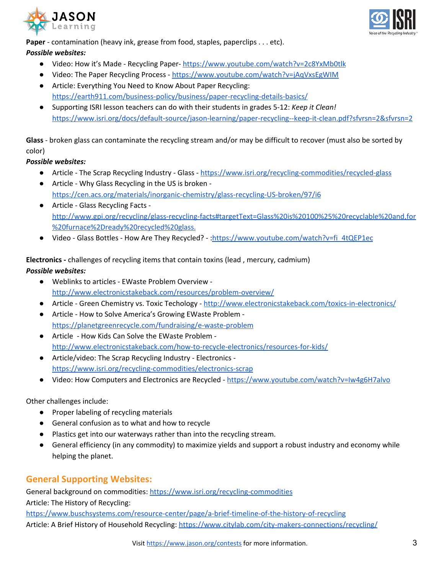



**Paper** - contamination (heavy ink, grease from food, staples, paperclips . . . etc).

#### *Possible websites:*

- Video: How it's Made Recycling Paper- <https://www.youtube.com/watch?v=2c8YxMb0tlk>
- Video: The Paper Recycling Process <https://www.youtube.com/watch?v=jAqVxsEgWIM>
- Article: Everything You Need to Know About Paper Recycling: <https://earth911.com/business-policy/business/paper-recycling-details-basics/>
- Supporting ISRI lesson teachers can do with their students in grades 5-12: *Keep it Clean!* <https://www.isri.org/docs/default-source/jason-learning/paper-recycling--keep-it-clean.pdf?sfvrsn=2&sfvrsn=2>

**Glass** - broken glass can contaminate the recycling stream and/or may be difficult to recover (must also be sorted by color)

#### *Possible websites:*

- Article The Scrap Recycling Industry Glass <https://www.isri.org/recycling-commodities/recycled-glass>
- Article Why Glass Recycling in the US is broken <https://cen.acs.org/materials/inorganic-chemistry/glass-recycling-US-broken/97/i6>
- Article Glass Recycling Facts [http://www.gpi.org/recycling/glass-recycling-facts#targetText=Glass%20is%20100%25%20recyclable%20and,for](http://www.gpi.org/recycling/glass-recycling-facts#targetText=Glass%20is%20100%25%20recyclable%20and,for%20furnace%2Dready%20recycled%20glass.) [%20furnace%2Dready%20recycled%20glass.](http://www.gpi.org/recycling/glass-recycling-facts#targetText=Glass%20is%20100%25%20recyclable%20and,for%20furnace%2Dready%20recycled%20glass.)
- Video Glass Bottles How Are They Recycled? [:https://www.youtube.com/watch?v=fi\\_4tQEP1ec](https://www.youtube.com/watch?v=fi_4tQEP1ec)

**Electronics -** challenges of recycling items that contain toxins (lead , mercury, cadmium) *Possible websites:*

- Weblinks to articles EWaste Problem Overview <http://www.electronicstakeback.com/resources/problem-overview/>
- Article Green Chemistry vs. Toxic Techology <http://www.electronicstakeback.com/toxics-in-electronics/>
- Article How to Solve America's Growing EWaste Problem <https://planetgreenrecycle.com/fundraising/e-waste-problem>
- Article How Kids Can Solve the EWaste Problem <http://www.electronicstakeback.com/how-to-recycle-electronics/resources-for-kids/>
- Article/video: The Scrap Recycling Industry Electronics <https://www.isri.org/recycling-commodities/electronics-scrap>
- Video: How Computers and Electronics are Recycled <https://www.youtube.com/watch?v=Iw4g6H7alvo>

Other challenges include:

- Proper labeling of recycling materials
- General confusion as to what and how to recycle
- Plastics get into our waterways rather than into the recycling stream.
- General efficiency (in any commodity) to maximize yields and support a robust industry and economy while helping the planet.

# **General Supporting Websites:**

General background on commodities: <https://www.isri.org/recycling-commodities> Article: The History of Recycling: <https://www.buschsystems.com/resource-center/page/a-brief-timeline-of-the-history-of-recycling> Article: A Brief History of Household Recycling: <https://www.citylab.com/city-makers-connections/recycling/>